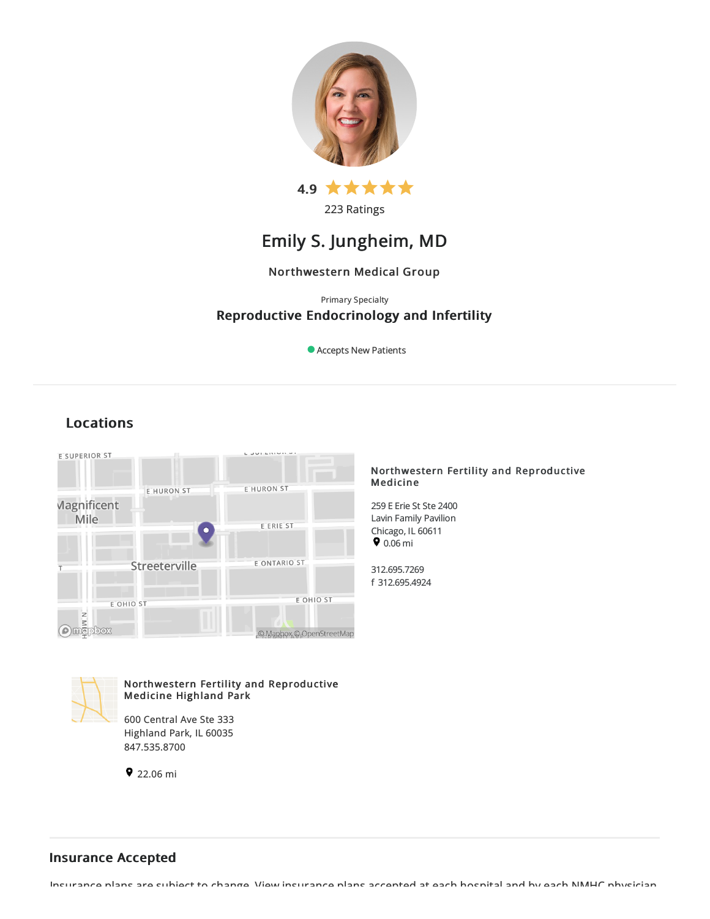

223 Ratings

# Emily S. Jungheim, MD

# Northwestern Medical Group

# Primary Specialty Reproductive Endocrinology and Infertility

Accepts New Patients

# Locations



### Northwestern Fertility and Reproductive Medicine

259 E Erie St Ste 2400 Lavin Family Pavilion Chicago, IL 60611  $9.06 \text{ mi}$ 

312.695.7269 f 312.695.4924



Northwestern Fertility and Reproductive Medicine Highland Park

600 Central Ave Ste 333 Highland Park, IL 60035 847.535.8700

 $922.06 \text{ mi}$ 

# Insurance Accepted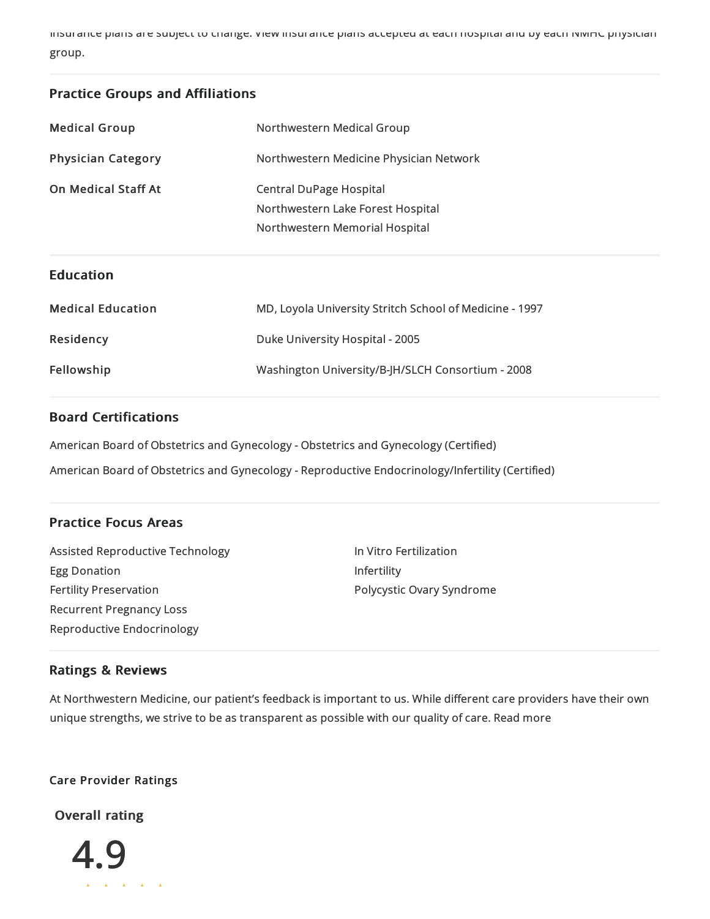Insurance plans aresubject to change. View insurance plans accepted ateach hospitaland byeach NMHC physician group.

# Practice Groups and Affiliations

| <b>Medical Group</b>       | Northwestern Medical Group                                                                     |
|----------------------------|------------------------------------------------------------------------------------------------|
| <b>Physician Category</b>  | Northwestern Medicine Physician Network                                                        |
| <b>On Medical Staff At</b> | Central DuPage Hospital<br>Northwestern Lake Forest Hospital<br>Northwestern Memorial Hospital |

# Education

| <b>Medical Education</b> | MD, Loyola University Stritch School of Medicine - 1997 |
|--------------------------|---------------------------------------------------------|
| Residency                | Duke University Hospital - 2005                         |
| Fellowship               | Washington University/B-JH/SLCH Consortium - 2008       |

# Board Certifications

American Board of Obstetrics and Gynecology - Obstetrics and Gynecology (Certified)

American Board of Obstetrics and Gynecology - Reproductive Endocrinology/Infertility (Certified)

# Practice Focus Areas

| Assisted Reproductive Technology | In Vitro Fertilization    |
|----------------------------------|---------------------------|
| Egg Donation                     | <b>Infertility</b>        |
| <b>Fertility Preservation</b>    | Polycystic Ovary Syndrome |
| <b>Recurrent Pregnancy Loss</b>  |                           |
| Reproductive Endocrinology       |                           |

## Ratings & Reviews

At Northwestern Medicine, our patient's feedback is important to us. While different care providers have their own unique strengths, we strive to be as transparent as possible with our quality of care. Read more

# Care Provider Ratings

Overall rating

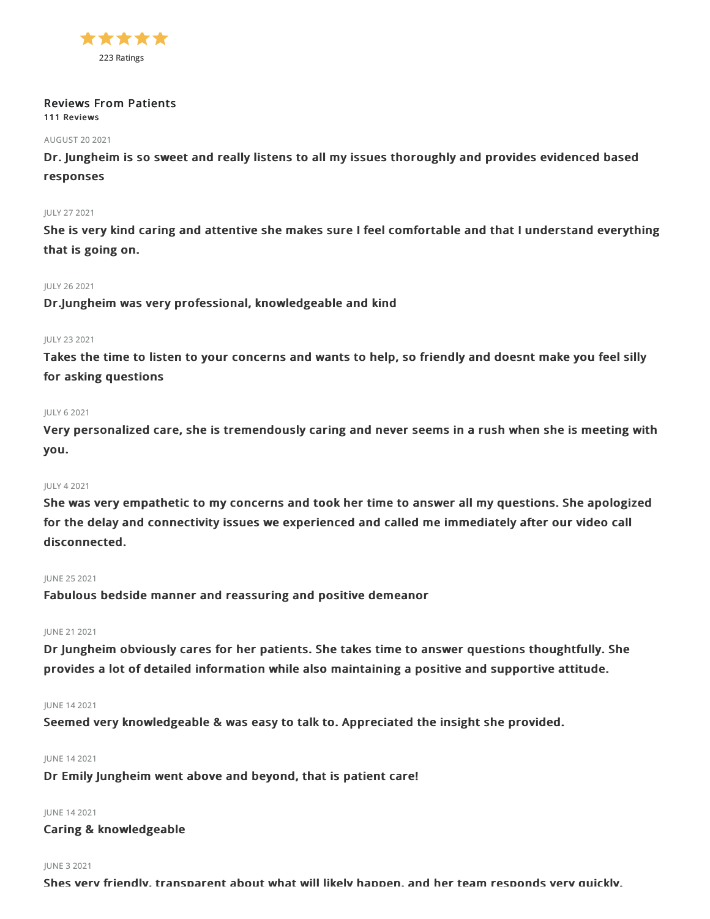

### Reviews From Patients 111 Reviews

### AUGUST 202021

Dr. Jungheim is so sweet and really listens to all my issues thoroughly and provides evidenced based responses

### JULY 272021

She is very kind caring and attentive she makes sure I feel comfortable and that I understand everything that is going on.

### JULY 262021

Dr.Jungheim was very professional, knowledgeable and kind

### JULY 232021

Takes the time to listen to your concerns and wants to help, so friendly and doesnt make you feel silly for asking questions

### JULY 62021

Very personalized care, she is tremendously caring and never seems in a rush when she is meeting with you.

#### JULY 42021

She was very empathetic to my concerns and took her time to answer all my questions. She apologized for the delay and connectivity issues we experienced and called me immediately after our video call disconnected.

### JUNE 252021

Fabulous bedside manner and reassuring and positive demeanor

### JUNE 212021

Dr Jungheim obviously cares for her patients. She takes time to answer questions thoughtfully. She provides a lot of detailed information while also maintaining a positive and supportive attitude.

### JUNE 142021

Seemed very knowledgeable & was easy to talk to. Appreciated the insight she provided.

#### JUNE 142021

Dr Emily Jungheim went above and beyond, that is patient care!

### JUNE 142021

Caring & knowledgeable

#### JUNE 32021

Shes very friendly, transparent about what will likely happen, and her team responds very quickly.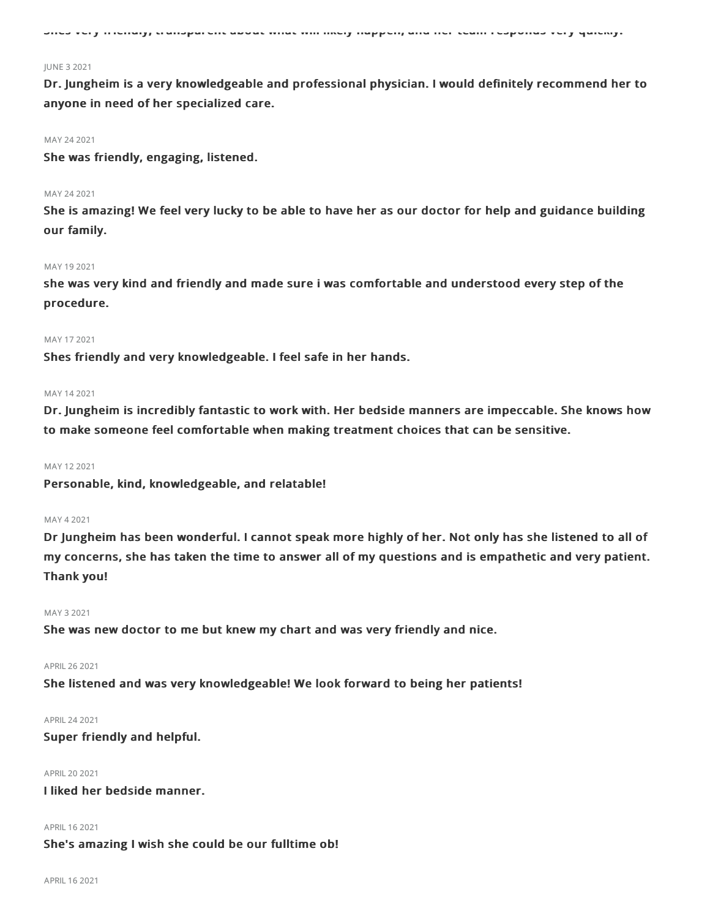Shes very friendly, transparent about what will likely happen, and her team responds very quickly.

#### JUNE 32021

Dr. Jungheim is a very knowledgeable and professional physician. I would definitely recommend her to anyone in need of her specialized care.

#### MAY 24 2021

She was friendly, engaging, listened.

### MAY 242021

She is amazing! We feel very lucky to be able to have her as our doctor for help and guidance building our family.

#### MAY 192021

she was very kind and friendly and made sure i was comfortable and understood every step of the procedure.

#### MAY 172021

Shes friendly and very knowledgeable. I feel safe in her hands.

#### MAY 142021

Dr. Jungheim is incredibly fantastic to work with. Her bedside manners are impeccable. She knows how to make someone feel comfortable when making treatment choices that can be sensitive.

### MAY 122021

Personable, kind, knowledgeable, and relatable!

#### MAY 42021

Dr Jungheim has been wonderful. I cannot speak more highly of her. Not only has she listened to all of my concerns, she has taken the time to answer all of my questions and is empathetic and very patient. Thank you!

### MAY 32021

She was new doctor to me but knew my chart and was very friendly and nice.

### APRIL262021

She listened and was very knowledgeable! We look forward to being her patients!

### APRIL242021

Super friendly and helpful.

### APRIL202021

I liked her bedside manner.

#### APRIL 16 2021

### She's amazing I wish she could be our fulltime ob!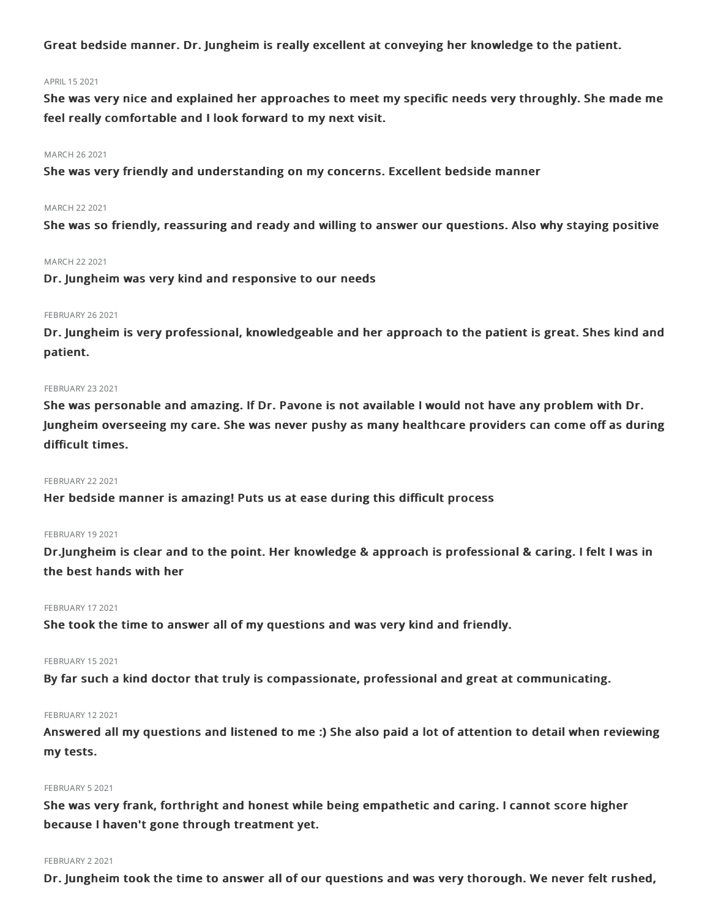Great bedside manner. Dr. Jungheim is really excellent at conveying her knowledge to the patient.

### APRIL 15 2021

She was very nice and explained her approaches to meet my specific needs very throughly. She made me feel really comfortable and I look forward to my next visit.

### MARCH 262021

She was very friendly and understanding on my concerns. Excellent bedside manner

### MARCH 22 2021

She was so friendly, reassuring and ready and willing to answer our questions. Also why staying positive

#### MARCH 222021

Dr. Jungheim was very kind and responsive to our needs

### **FEBRUARY 26 2021**

Dr. Jungheim is very professional, knowledgeable and her approach to the patient is great. Shes kind and patient.

### **FEBRUARY 23 2021**

She was personable and amazing. If Dr. Pavone is not available I would not have any problem with Dr. Jungheim overseeing my care. She was never pushy as many healthcare providers can come off as during difficult times.

### **FEBRUARY 22 2021**

Her bedside manner is amazing! Puts us at ease during this difficult process

### FEBRUARY 192021

Dr.Jungheim is clear and to the point. Her knowledge & approach is professional & caring. I felt I was in the best hands with her

### FEBRUARY 17 2021

She took the time to answer all of my questions and was very kind and friendly.

#### FEBRUARY 15 2021

By far such a kind doctor that truly is compassionate, professional and great at communicating.

### FEBRUARY 12 2021

Answered all my questions and listened to me :) She also paid a lot of attention to detail when reviewing my tests.

#### FEBRUARY 52021

She was very frank, forthright and honest while being empathetic and caring. I cannot score higher because I haven't gone through treatment yet.

#### FEBRUARY 2 2021

Dr. Jungheim took the time to answer all of our questions and was very thorough. We never felt rushed,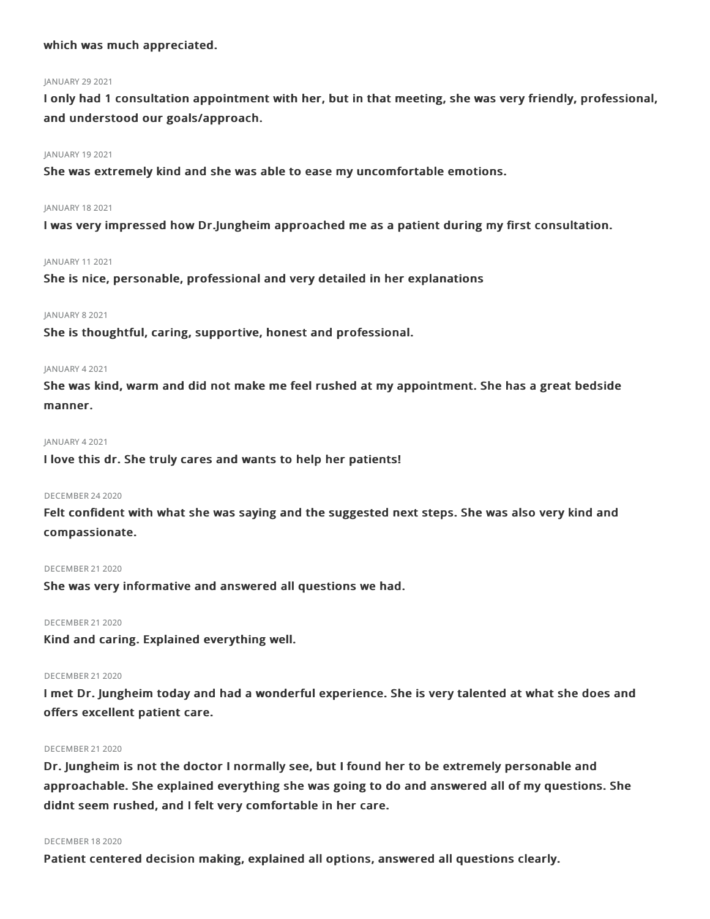### which was much appreciated.

### **JANUARY 29 2021**

I only had 1 consultation appointment with her, but in that meeting, she was very friendly, professional, and understood our goals/approach.

### JANUARY 19 2021

She was extremely kind and she was able to ease my uncomfortable emotions.

### JANUARY 182021

I was very impressed how Dr.Jungheim approached me as a patient during my first consultation.

### JANUARY 112021

She is nice, personable, professional and very detailed in her explanations

### JANUARY 82021

She is thoughtful, caring, supportive, honest and professional.

#### JANUARY 42021

She was kind, warm and did not make me feel rushed at my appointment. She has a great bedside manner.

### JANUARY 42021

I love this dr. She truly cares and wants to help her patients!

### DECEMBER 242020

Felt confident with what she was saying and the suggested next steps. She was also very kind and compassionate.

### DECEMBER 21 2020

She was very informative and answered all questions we had.

DECEMBER 212020

Kind and caring. Explained everything well.

### DECEMBER 21 2020

I met Dr. Jungheim today and had a wonderful experience. She is very talented at what she does and offers excellent patient care.

### DECEMBER 21 2020

Dr. Jungheim is not the doctor I normally see, but I found her to be extremely personable and approachable. She explained everything she was going to do and answered all of my questions. She didnt seem rushed, and I felt very comfortable in her care.

#### DECEMBER 182020

Patient centered decision making, explained all options, answered all questions clearly.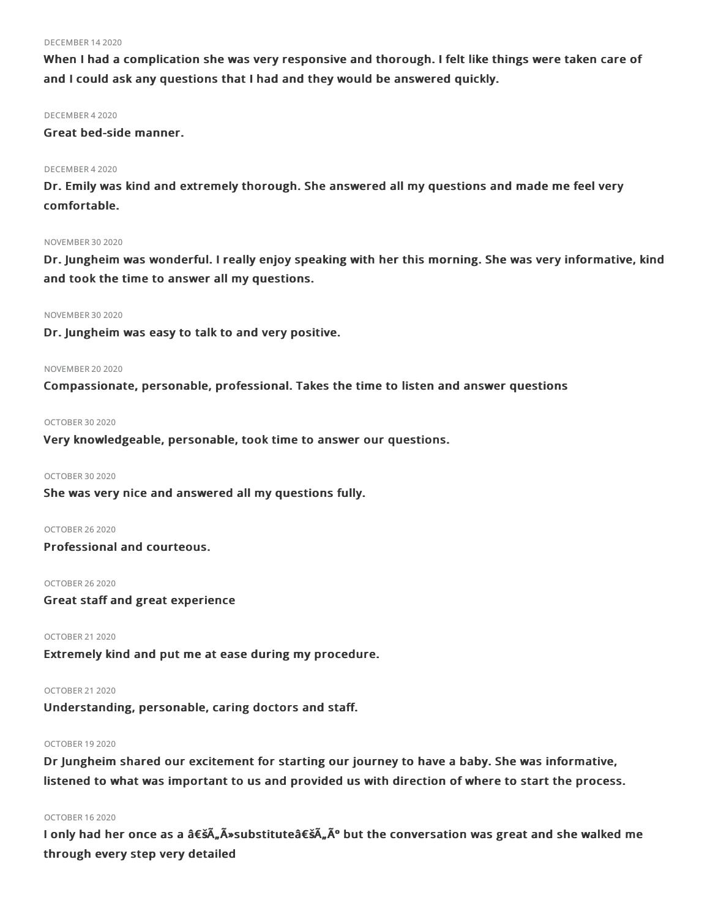#### DECEMBER 142020

When I had a complication she was very responsive and thorough. I felt like things were taken care of and I could ask any questions that I had and they would be answered quickly.

### DECEMBER 42020

Great bed-side manner.

### DECEMBER 42020

Dr. Emily was kind and extremely thorough. She answered all my questions and made me feel very comfortable.

### **NOVEMBER 30 2020**

Dr. Jungheim was wonderful. I really enjoy speaking with her this morning. She was very informative, kind and took the time to answer all my questions.

### NOVEMBER 302020

Dr. Jungheim was easy to talk to and very positive.

#### **NOVEMBER 20 2020**

Compassionate, personable, professional. Takes the time to listen and answer questions

### OCTOBER 302020

Very knowledgeable, personable, took time to answer our questions.

### OCTOBER 30 2020

She was very nice and answered all my questions fully.

#### OCTOBER 262020

Professional and courteous.

### OCTOBER 262020

Great staff and great experience

OCTOBER 212020

Extremely kind and put me at ease during my procedure.

## OCTOBER 212020

Understanding, personable, caring doctors and staff.

### OCTOBER 192020

Dr Jungheim shared our excitement for starting our journey to have a baby. She was informative, listened to what was important to us and provided us with direction of where to start the process.

### OCTOBER 162020

I only had her once as a 'Äûsubstitute'Äú but the conversation was great and she walked me through every step very detailed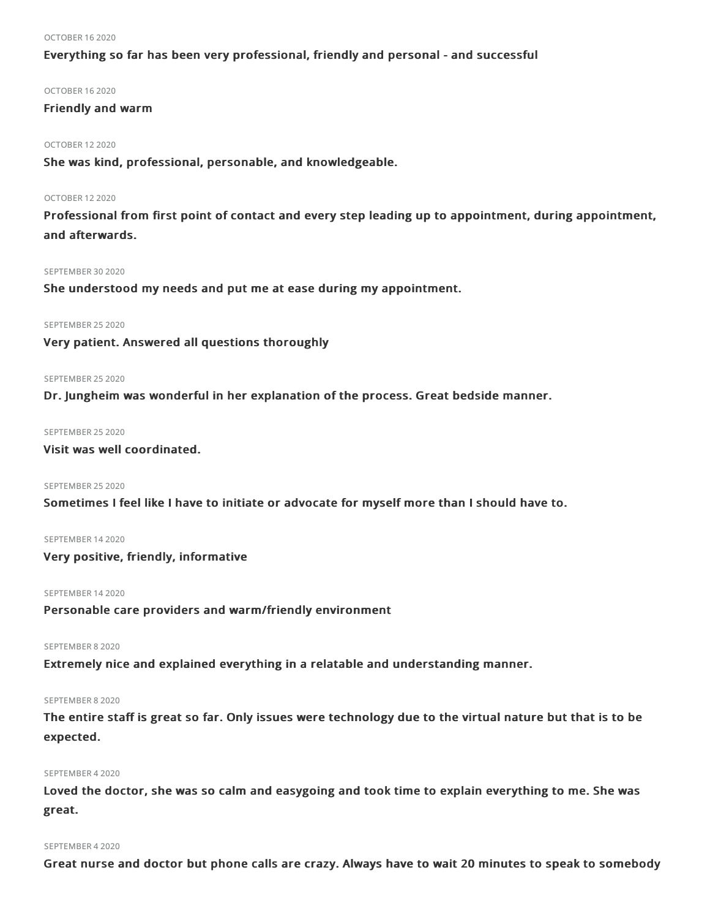#### OCTOBER 162020

### Everything so far has been very professional, friendly and personal - and successful

### OCTOBER 162020

### Friendly and warm

### OCTOBER 122020

She was kind, professional, personable, and knowledgeable.

#### OCTOBER 122020

Professional from first point of contact and every step leading up to appointment, during appointment, and afterwards.

### SEPTEMBER 30 2020

She understood my needs and put me at ease during my appointment.

### SEPTEMBER 25 2020

Very patient. Answered all questions thoroughly

### SEPTEMBER 25 2020

Dr. Jungheim was wonderful in her explanation of the process. Great bedside manner.

#### SEPTEMBER 25 2020

### Visit was well coordinated.

### SEPTEMBER 25 2020

Sometimes I feel like I have to initiate or advocate for myself more than I should have to.

### SEPTEMBER 142020

Very positive, friendly, informative

### SEPTEMBER 142020

Personable care providers and warm/friendly environment

### SEPTEMBER 82020

Extremely nice and explained everything in a relatable and understanding manner.

### SEPTEMBER 82020

The entire staff is great so far. Only issues were technology due to the virtual nature but that is to be expected.

### SEPTEMBER 42020

Loved the doctor, she was so calm and easygoing and took time to explain everything to me. She was great.

#### SEPTEMBER 42020

Great nurse and doctor but phone calls are crazy. Always have to wait 20 minutes to speak to somebody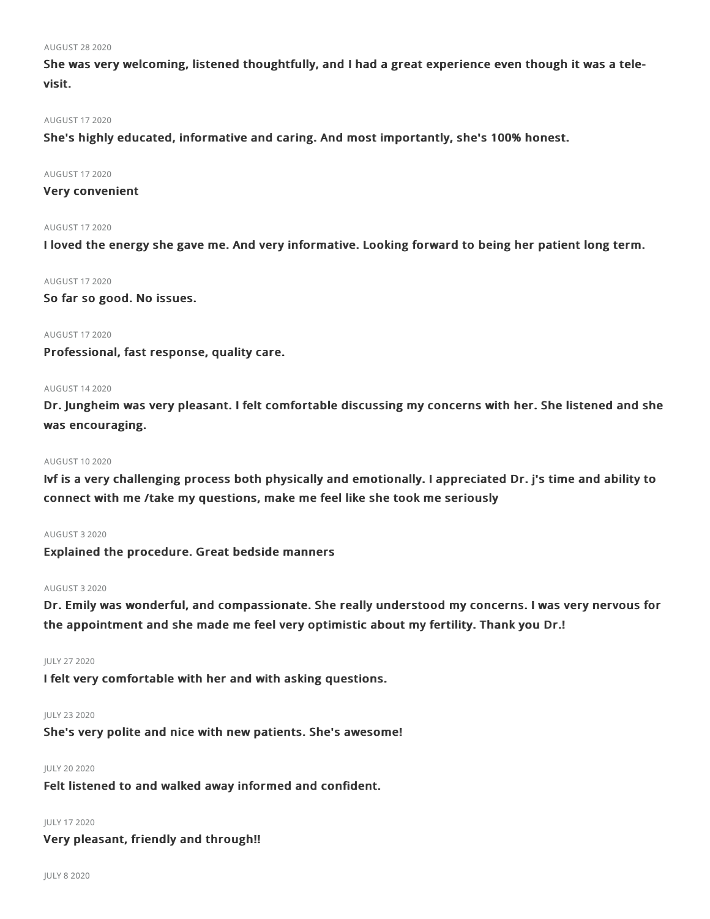### AUGUST 282020

She was very welcoming, listened thoughtfully, and I had a great experience even though it was a televisit.

### AUGUST 172020

She's highly educated, informative and caring. And most importantly, she's 100% honest.

#### AUGUST 172020

### Very convenient

### AUGUST 172020

I loved the energy she gave me. And very informative. Looking forward to being her patient long term.

#### AUGUST 172020

So far so good. No issues.

### AUGUST 172020

Professional, fast response, quality care.

#### AUGUST 142020

Dr. Jungheim was very pleasant. I felt comfortable discussing my concerns with her. She listened and she was encouraging.

#### AUGUST 102020

Ivf is a very challenging process both physically and emotionally. I appreciated Dr. j's time and ability to connect with me /take my questions, make me feel like she took me seriously

### AUGUST 32020

Explained the procedure. Great bedside manners

#### AUGUST 32020

Dr. Emily was wonderful, and compassionate. She really understood my concerns. I was very nervous for the appointment and she made me feel very optimistic about my fertility. Thank you Dr.!

#### JULY 272020

I felt very comfortable with her and with asking questions.

### JULY 232020

She's very polite and nice with new patients. She's awesome!

### JULY 20 2020

Felt listened to and walked away informed and confident.

### JULY 172020

Very pleasant, friendly and through!!